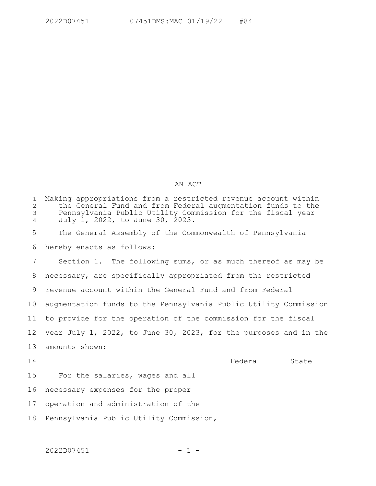## AN ACT

| $\mathbf{1}$<br>$\overline{2}$<br>3<br>$\overline{4}$ | Making appropriations from a restricted revenue account within<br>the General Fund and from Federal augmentation funds to the<br>Pennsylvania Public Utility Commission for the fiscal year<br>July 1, 2022, to June 30, 2023. |
|-------------------------------------------------------|--------------------------------------------------------------------------------------------------------------------------------------------------------------------------------------------------------------------------------|
| 5                                                     | The General Assembly of the Commonwealth of Pennsylvania                                                                                                                                                                       |
| 6                                                     | hereby enacts as follows:                                                                                                                                                                                                      |
| 7                                                     | Section 1. The following sums, or as much thereof as may be                                                                                                                                                                    |
| 8                                                     | necessary, are specifically appropriated from the restricted                                                                                                                                                                   |
| 9                                                     | revenue account within the General Fund and from Federal                                                                                                                                                                       |
| 10                                                    | augmentation funds to the Pennsylvania Public Utility Commission                                                                                                                                                               |
| 11                                                    | to provide for the operation of the commission for the fiscal                                                                                                                                                                  |
| $12 \overline{ }$                                     | year July 1, 2022, to June 30, 2023, for the purposes and in the                                                                                                                                                               |
| 13                                                    | amounts shown:                                                                                                                                                                                                                 |
| 14                                                    | Federal<br>State                                                                                                                                                                                                               |
| 15                                                    | For the salaries, wages and all                                                                                                                                                                                                |
| 16                                                    | necessary expenses for the proper                                                                                                                                                                                              |
| 17                                                    | operation and administration of the                                                                                                                                                                                            |
| 18                                                    | Pennsylvania Public Utility Commission,                                                                                                                                                                                        |